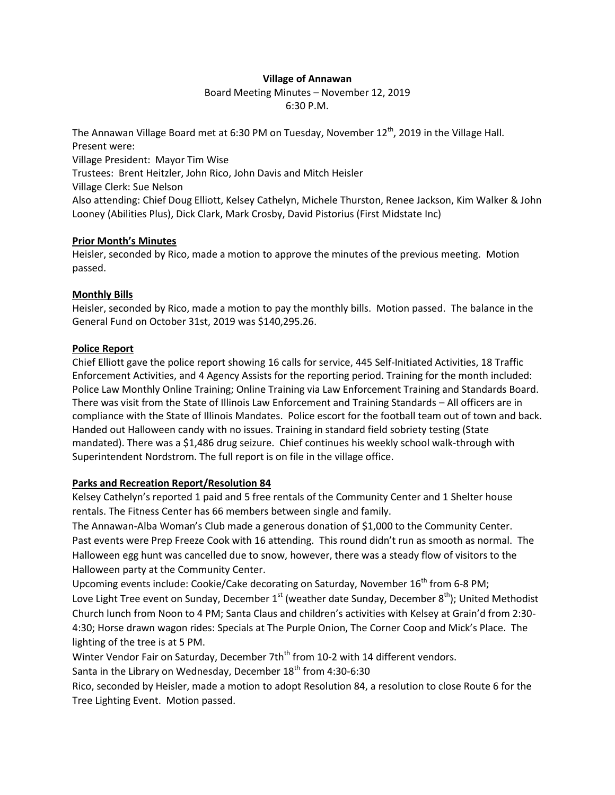## **Village of Annawan**

# Board Meeting Minutes – November 12, 2019 6:30 P.M.

The Annawan Village Board met at 6:30 PM on Tuesday, November  $12<sup>th</sup>$ , 2019 in the Village Hall. Present were: Village President: Mayor Tim Wise Trustees: Brent Heitzler, John Rico, John Davis and Mitch Heisler Village Clerk: Sue Nelson Also attending: Chief Doug Elliott, Kelsey Cathelyn, Michele Thurston, Renee Jackson, Kim Walker & John Looney (Abilities Plus), Dick Clark, Mark Crosby, David Pistorius (First Midstate Inc)

# **Prior Month's Minutes**

Heisler, seconded by Rico, made a motion to approve the minutes of the previous meeting. Motion passed.

# **Monthly Bills**

Heisler, seconded by Rico, made a motion to pay the monthly bills. Motion passed. The balance in the General Fund on October 31st, 2019 was \$140,295.26.

# **Police Report**

Chief Elliott gave the police report showing 16 calls for service, 445 Self-Initiated Activities, 18 Traffic Enforcement Activities, and 4 Agency Assists for the reporting period. Training for the month included: Police Law Monthly Online Training; Online Training via Law Enforcement Training and Standards Board. There was visit from the State of Illinois Law Enforcement and Training Standards – All officers are in compliance with the State of Illinois Mandates. Police escort for the football team out of town and back. Handed out Halloween candy with no issues. Training in standard field sobriety testing (State mandated). There was a \$1,486 drug seizure. Chief continues his weekly school walk-through with Superintendent Nordstrom. The full report is on file in the village office.

# **Parks and Recreation Report/Resolution 84**

Kelsey Cathelyn's reported 1 paid and 5 free rentals of the Community Center and 1 Shelter house rentals. The Fitness Center has 66 members between single and family.

The Annawan-Alba Woman's Club made a generous donation of \$1,000 to the Community Center. Past events were Prep Freeze Cook with 16 attending. This round didn't run as smooth as normal. The Halloween egg hunt was cancelled due to snow, however, there was a steady flow of visitors to the Halloween party at the Community Center.

Upcoming events include: Cookie/Cake decorating on Saturday, November 16<sup>th</sup> from 6-8 PM; Love Light Tree event on Sunday, December  $1<sup>st</sup>$  (weather date Sunday, December  $8<sup>th</sup>$ ); United Methodist Church lunch from Noon to 4 PM; Santa Claus and children's activities with Kelsey at Grain'd from 2:30- 4:30; Horse drawn wagon rides: Specials at The Purple Onion, The Corner Coop and Mick's Place. The lighting of the tree is at 5 PM.

Winter Vendor Fair on Saturday, December 7th<sup>th</sup> from 10-2 with 14 different vendors.

Santa in the Library on Wednesday, December  $18<sup>th</sup>$  from 4:30-6:30

Rico, seconded by Heisler, made a motion to adopt Resolution 84, a resolution to close Route 6 for the Tree Lighting Event. Motion passed.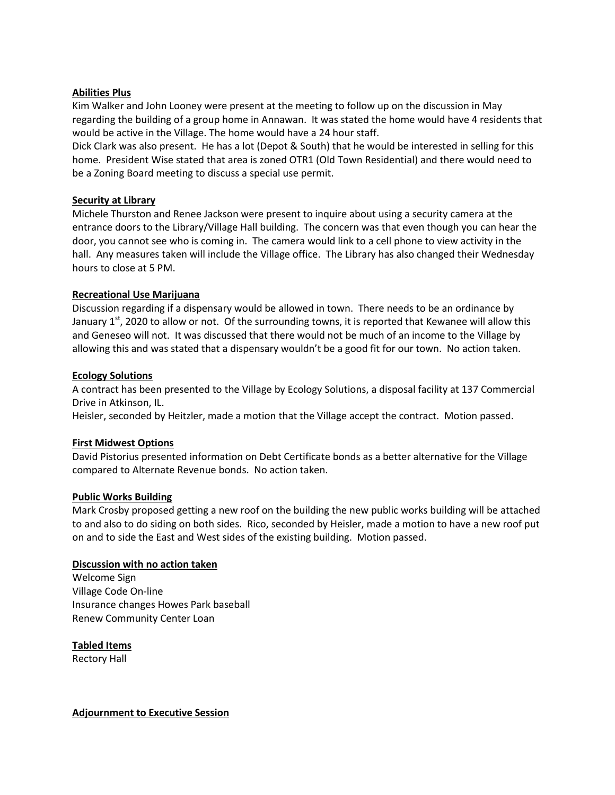### **Abilities Plus**

Kim Walker and John Looney were present at the meeting to follow up on the discussion in May regarding the building of a group home in Annawan. It was stated the home would have 4 residents that would be active in the Village. The home would have a 24 hour staff.

Dick Clark was also present. He has a lot (Depot & South) that he would be interested in selling for this home. President Wise stated that area is zoned OTR1 (Old Town Residential) and there would need to be a Zoning Board meeting to discuss a special use permit.

## **Security at Library**

Michele Thurston and Renee Jackson were present to inquire about using a security camera at the entrance doors to the Library/Village Hall building. The concern was that even though you can hear the door, you cannot see who is coming in. The camera would link to a cell phone to view activity in the hall. Any measures taken will include the Village office. The Library has also changed their Wednesday hours to close at 5 PM.

## **Recreational Use Marijuana**

Discussion regarding if a dispensary would be allowed in town. There needs to be an ordinance by January  $1<sup>st</sup>$ , 2020 to allow or not. Of the surrounding towns, it is reported that Kewanee will allow this and Geneseo will not. It was discussed that there would not be much of an income to the Village by allowing this and was stated that a dispensary wouldn't be a good fit for our town. No action taken.

### **Ecology Solutions**

A contract has been presented to the Village by Ecology Solutions, a disposal facility at 137 Commercial Drive in Atkinson, IL.

Heisler, seconded by Heitzler, made a motion that the Village accept the contract. Motion passed.

#### **First Midwest Options**

David Pistorius presented information on Debt Certificate bonds as a better alternative for the Village compared to Alternate Revenue bonds. No action taken.

#### **Public Works Building**

Mark Crosby proposed getting a new roof on the building the new public works building will be attached to and also to do siding on both sides. Rico, seconded by Heisler, made a motion to have a new roof put on and to side the East and West sides of the existing building. Motion passed.

#### **Discussion with no action taken**

Welcome Sign Village Code On-line Insurance changes Howes Park baseball Renew Community Center Loan

**Tabled Items** Rectory Hall

**Adjournment to Executive Session**